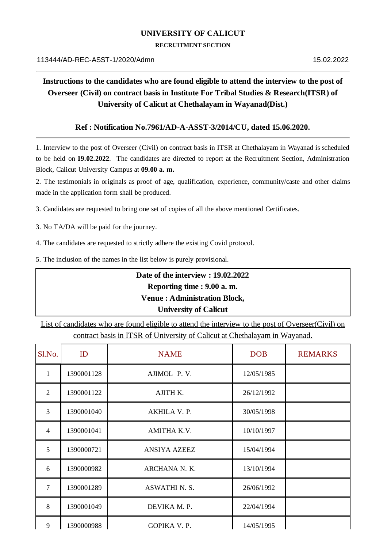### **UNIVERSITY OF CALICUT**

#### **RECRUITMENT SECTION**

# **Instructions to the candidates who are found eligible to attend the interview to the post of Overseer (Civil) on contract basis in Institute For Tribal Studies & Research(ITSR) of University of Calicut at Chethalayam in Wayanad(Dist.)**

#### **Ref : Notification No.7961/AD-A-ASST-3/2014/CU, dated 15.06.2020.**

1. Interview to the post of Overseer (Civil) on contract basis in ITSR at Chethalayam in Wayanad is scheduled to be held on **19.02.2022**. The candidates are directed to report at the Recruitment Section, Administration Block, Calicut University Campus at **09.00 a. m.**

2. The testimonials in originals as proof of age, qualification, experience, community/caste and other claims made in the application form shall be produced.

3. Candidates are requested to bring one set of copies of all the above mentioned Certificates.

3. No TA/DA will be paid for the journey.

4. The candidates are requested to strictly adhere the existing Covid protocol.

5. The inclusion of the names in the list below is purely provisional.

# **Date of the interview : 19.02.2022 Reporting time : 9.00 a. m. Venue : Administration Block, University of Calicut**

List of candidates who are found eligible to attend the interview to the post of Overseer(Civil) on contract basis in ITSR of University of Calicut at Chethalayam in Wayanad.

| Sl.No.         | ID         | <b>NAME</b>          | <b>DOB</b> | <b>REMARKS</b> |
|----------------|------------|----------------------|------------|----------------|
| $\mathbf{1}$   | 1390001128 | AJIMOL P.V.          | 12/05/1985 |                |
| $\overline{2}$ | 1390001122 | AJITH K.             | 26/12/1992 |                |
| 3              | 1390001040 | AKHILA V. P.         | 30/05/1998 |                |
| $\overline{4}$ | 1390001041 | AMITHA K.V.          | 10/10/1997 |                |
| 5              | 1390000721 | ANSIYA AZEEZ         | 15/04/1994 |                |
| 6              | 1390000982 | ARCHANA N. K.        | 13/10/1994 |                |
| 7              | 1390001289 | <b>ASWATHI N. S.</b> | 26/06/1992 |                |
| 8              | 1390001049 | DEVIKA M. P.         | 22/04/1994 |                |
| 9              | 1390000988 | GOPIKA V. P.         | 14/05/1995 |                |